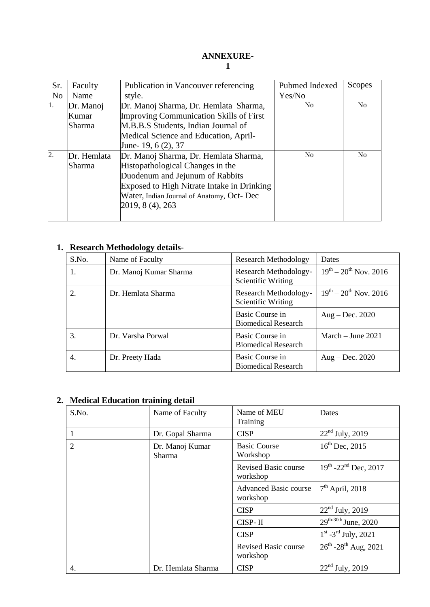## **ANNEXURE-1**

| Sr.              | Faculty     | Publication in Vancouver referencing           | Pubmed Indexed | Scopes |
|------------------|-------------|------------------------------------------------|----------------|--------|
| N <sub>0</sub>   | Name        | style.                                         | Yes/No         |        |
| $\overline{1}$ . | Dr. Manoj   | Dr. Manoj Sharma, Dr. Hemlata Sharma,          | N <sub>0</sub> | No     |
|                  | Kumar       | <b>Improving Communication Skills of First</b> |                |        |
|                  | Sharma      | M.B.B.S Students, Indian Journal of            |                |        |
|                  |             | Medical Science and Education, April-          |                |        |
|                  |             | June-19, 6 (2), 37                             |                |        |
| $\overline{2}$ . | Dr. Hemlata | Dr. Manoj Sharma, Dr. Hemlata Sharma,          | N <sub>0</sub> | No     |
|                  | Sharma      | Histopathological Changes in the               |                |        |
|                  |             | Duodenum and Jejunum of Rabbits                |                |        |
|                  |             | Exposed to High Nitrate Intake in Drinking     |                |        |
|                  |             | Water, Indian Journal of Anatomy, Oct- Dec     |                |        |
|                  |             | 2019, 8 (4), 263                               |                |        |
|                  |             |                                                |                |        |

## **1. Research Methodology details-**

| S.No. | Name of Faculty        | <b>Research Methodology</b>                   | Dates                         |
|-------|------------------------|-----------------------------------------------|-------------------------------|
| 1.    | Dr. Manoj Kumar Sharma | Research Methodology-<br>Scientific Writing   | $19^{th} - 20^{th}$ Nov. 2016 |
| 2.    | Dr. Hemlata Sharma     | Research Methodology-<br>Scientific Writing   | $19^{th} - 20^{th}$ Nov. 2016 |
|       |                        | Basic Course in<br><b>Biomedical Research</b> | Aug – Dec. $2020$             |
| 3.    | Dr. Varsha Porwal      | Basic Course in<br><b>Biomedical Research</b> | March $-$ June 2021           |
| 4.    | Dr. Preety Hada        | Basic Course in<br><b>Biomedical Research</b> | $Aug - Dec. 2020$             |

## **2. Medical Education training detail**

| S.No.          | Name of Faculty                  | Name of MEU<br>Training                  | Dates                                       |
|----------------|----------------------------------|------------------------------------------|---------------------------------------------|
|                | Dr. Gopal Sharma                 | <b>CISP</b>                              | $22nd$ July, 2019                           |
| $\overline{2}$ | Dr. Manoj Kumar<br><b>Sharma</b> | <b>Basic Course</b><br>Workshop          | $16^{th}$ Dec, 2015                         |
|                |                                  | Revised Basic course<br>workshop         | $19^{th}$ -22 <sup>nd</sup> Dec, 2017       |
|                |                                  | <b>Advanced Basic course</b><br>workshop | $7th$ April, 2018                           |
|                |                                  | <b>CISP</b>                              | $22nd$ July, 2019                           |
|                |                                  | CISP-II                                  | $29^{th-30th}$ June, 2020                   |
|                |                                  | <b>CISP</b>                              | $1^{\text{st}}$ -3 <sup>rd</sup> July, 2021 |
|                |                                  | <b>Revised Basic course</b><br>workshop  | $26^{th}$ -28 <sup>th</sup> Aug, 2021       |
| 4.             | Dr. Hemlata Sharma               | <b>CISP</b>                              | $22nd$ July, 2019                           |